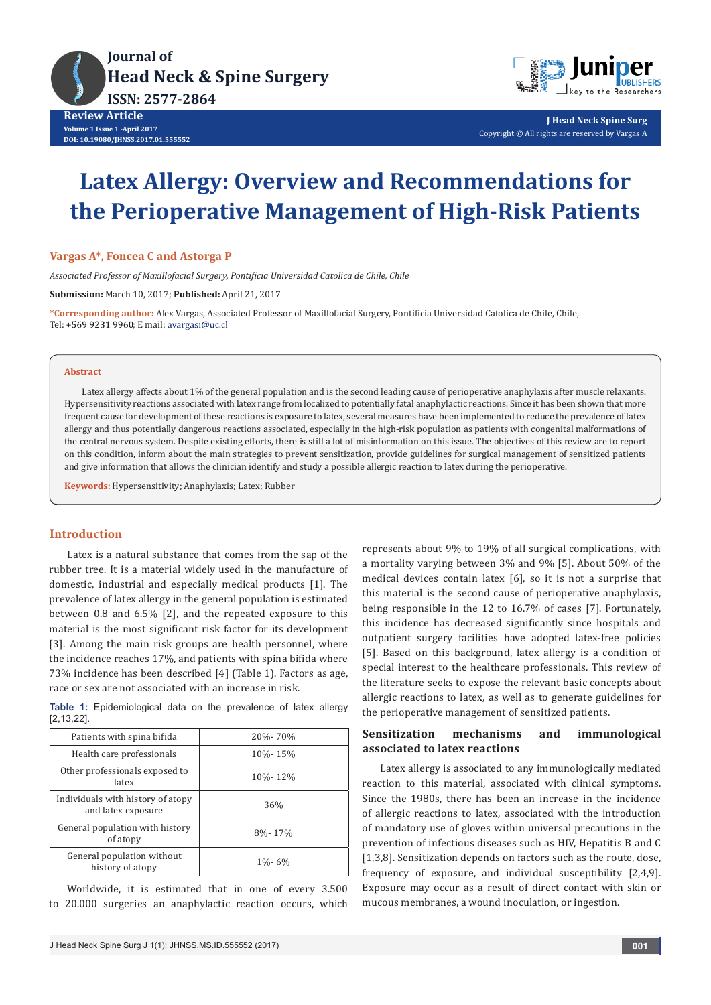



**J Head Neck Spine Surg** Copyright © All rights are reserved by Vargas A

# **Latex Allergy: Overview and Recommendations for the Perioperative Management of High-Risk Patients**

## **Vargas A\*, Foncea C and Astorga P**

*Associated Professor of Maxillofacial Surgery, Pontificia Universidad Catolica de Chile, Chile*

**Submission:** March 10, 2017; **Published:** April 21, 2017

**\*Corresponding author:** Alex Vargas, Associated Professor of Maxillofacial Surgery, Pontificia Universidad Catolica de Chile, Chile, Tel: +569 9231 9960; E mail: avargasi@uc.cl

### **Abstract**

Latex allergy affects about 1% of the general population and is the second leading cause of perioperative anaphylaxis after muscle relaxants. Hypersensitivity reactions associated with latex range from localized to potentially fatal anaphylactic reactions. Since it has been shown that more frequent cause for development of these reactions is exposure to latex, several measures have been implemented to reduce the prevalence of latex allergy and thus potentially dangerous reactions associated, especially in the high-risk population as patients with congenital malformations of the central nervous system. Despite existing efforts, there is still a lot of misinformation on this issue. The objectives of this review are to report on this condition, inform about the main strategies to prevent sensitization, provide guidelines for surgical management of sensitized patients and give information that allows the clinician identify and study a possible allergic reaction to latex during the perioperative.

**Keywords:** Hypersensitivity; Anaphylaxis; Latex; Rubber

## **Introduction**

Latex is a natural substance that comes from the sap of the rubber tree. It is a material widely used in the manufacture of domestic, industrial and especially medical products [1]. The prevalence of latex allergy in the general population is estimated between 0.8 and 6.5% [2], and the repeated exposure to this material is the most significant risk factor for its development [3]. Among the main risk groups are health personnel, where the incidence reaches 17%, and patients with spina bifida where 73% incidence has been described [4] (Table 1). Factors as age, race or sex are not associated with an increase in risk.

**Table 1:** Epidemiological data on the prevalence of latex allergy [2,13,22].

| Patients with spina bifida                              | 20%-70%     |
|---------------------------------------------------------|-------------|
| Health care professionals                               | 10%-15%     |
| Other professionals exposed to<br>latex                 | 10%-12%     |
| Individuals with history of atopy<br>and latex exposure | 36%         |
| General population with history<br>of atopy             | 8%-17%      |
| General population without<br>history of atopy          | $1\% - 6\%$ |

Worldwide, it is estimated that in one of every 3.500 to 20.000 surgeries an anaphylactic reaction occurs, which represents about 9% to 19% of all surgical complications, with a mortality varying between 3% and 9% [5]. About 50% of the medical devices contain latex [6], so it is not a surprise that this material is the second cause of perioperative anaphylaxis, being responsible in the 12 to 16.7% of cases [7]. Fortunately, this incidence has decreased significantly since hospitals and outpatient surgery facilities have adopted latex-free policies [5]. Based on this background, latex allergy is a condition of special interest to the healthcare professionals. This review of the literature seeks to expose the relevant basic concepts about allergic reactions to latex, as well as to generate guidelines for the perioperative management of sensitized patients.

## **Sensitization mechanisms and immunological associated to latex reactions**

Latex allergy is associated to any immunologically mediated reaction to this material, associated with clinical symptoms. Since the 1980s, there has been an increase in the incidence of allergic reactions to latex, associated with the introduction of mandatory use of gloves within universal precautions in the prevention of infectious diseases such as HIV, Hepatitis B and C [1,3,8]. Sensitization depends on factors such as the route, dose, frequency of exposure, and individual susceptibility [2,4,9]. Exposure may occur as a result of direct contact with skin or mucous membranes, a wound inoculation, or ingestion.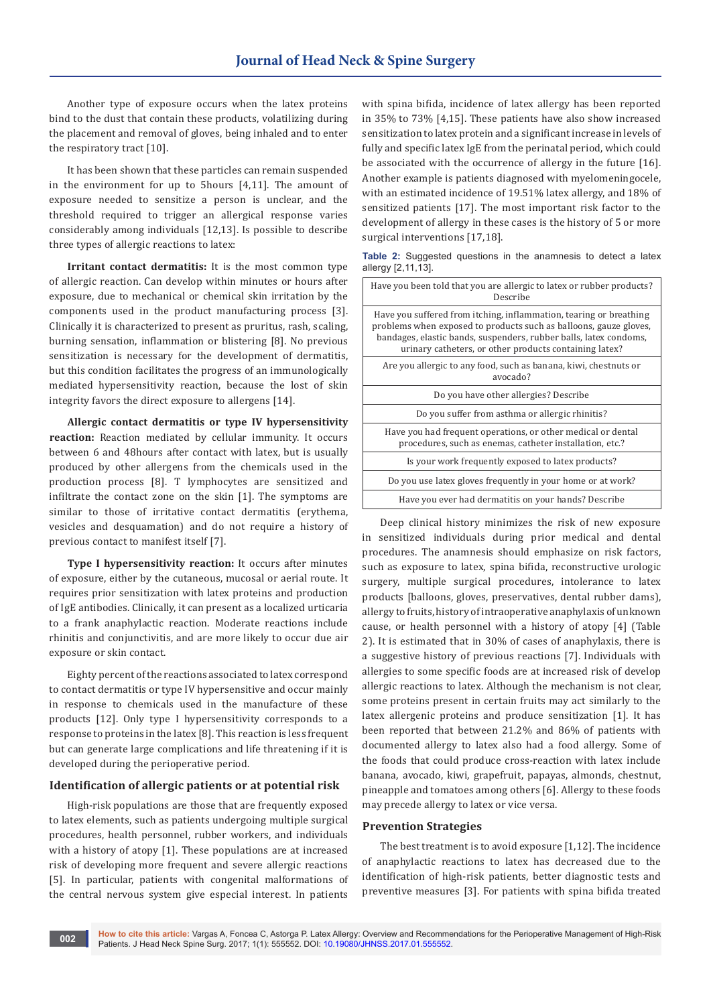Another type of exposure occurs when the latex proteins bind to the dust that contain these products, volatilizing during the placement and removal of gloves, being inhaled and to enter the respiratory tract [10].

It has been shown that these particles can remain suspended in the environment for up to 5hours [4,11]. The amount of exposure needed to sensitize a person is unclear, and the threshold required to trigger an allergical response varies considerably among individuals [12,13]. Is possible to describe three types of allergic reactions to latex:

**Irritant contact dermatitis:** It is the most common type of allergic reaction. Can develop within minutes or hours after exposure, due to mechanical or chemical skin irritation by the components used in the product manufacturing process [3]. Clinically it is characterized to present as pruritus, rash, scaling, burning sensation, inflammation or blistering [8]. No previous sensitization is necessary for the development of dermatitis, but this condition facilitates the progress of an immunologically mediated hypersensitivity reaction, because the lost of skin integrity favors the direct exposure to allergens [14].

**Allergic contact dermatitis or type IV hypersensitivity reaction:** Reaction mediated by cellular immunity. It occurs between 6 and 48hours after contact with latex, but is usually produced by other allergens from the chemicals used in the production process [8]. T lymphocytes are sensitized and infiltrate the contact zone on the skin [1]. The symptoms are similar to those of irritative contact dermatitis (erythema, vesicles and desquamation) and do not require a history of previous contact to manifest itself [7].

**Type I hypersensitivity reaction:** It occurs after minutes of exposure, either by the cutaneous, mucosal or aerial route. It requires prior sensitization with latex proteins and production of IgE antibodies. Clinically, it can present as a localized urticaria to a frank anaphylactic reaction. Moderate reactions include rhinitis and conjunctivitis, and are more likely to occur due air exposure or skin contact.

Eighty percent of the reactions associated to latex correspond to contact dermatitis or type IV hypersensitive and occur mainly in response to chemicals used in the manufacture of these products [12]. Only type I hypersensitivity corresponds to a response to proteins in the latex [8]. This reaction is less frequent but can generate large complications and life threatening if it is developed during the perioperative period.

#### **Identification of allergic patients or at potential risk**

High-risk populations are those that are frequently exposed to latex elements, such as patients undergoing multiple surgical procedures, health personnel, rubber workers, and individuals with a history of atopy [1]. These populations are at increased risk of developing more frequent and severe allergic reactions [5]. In particular, patients with congenital malformations of the central nervous system give especial interest. In patients

with spina bifida, incidence of latex allergy has been reported in 35% to 73% [4,15]. These patients have also show increased sensitization to latex protein and a significant increase in levels of fully and specific latex IgE from the perinatal period, which could be associated with the occurrence of allergy in the future [16]. Another example is patients diagnosed with myelomeningocele, with an estimated incidence of 19.51% latex allergy, and 18% of sensitized patients [17]. The most important risk factor to the development of allergy in these cases is the history of 5 or more surgical interventions [17,18].

**Table 2:** Suggested questions in the anamnesis to detect a latex allergy [2,11,13].

| Have you been told that you are allergic to latex or rubber products?<br>Describe                                                                                                                                                                                      |
|------------------------------------------------------------------------------------------------------------------------------------------------------------------------------------------------------------------------------------------------------------------------|
| Have you suffered from itching, inflammation, tearing or breathing<br>problems when exposed to products such as balloons, gauze gloves,<br>bandages, elastic bands, suspenders, rubber balls, latex condoms,<br>urinary catheters, or other products containing latex? |
| Are you allergic to any food, such as banana, kiwi, chestnuts or<br>avocado?                                                                                                                                                                                           |
| Do you have other allergies? Describe                                                                                                                                                                                                                                  |
| Do you suffer from asthma or allergic rhinitis?                                                                                                                                                                                                                        |
| Have you had frequent operations, or other medical or dental<br>procedures, such as enemas, catheter installation, etc.?                                                                                                                                               |
| Is your work frequently exposed to latex products?                                                                                                                                                                                                                     |
| Do you use latex gloves frequently in your home or at work?                                                                                                                                                                                                            |
| Have you ever had dermatitis on your hands? Describe                                                                                                                                                                                                                   |

Deep clinical history minimizes the risk of new exposure in sensitized individuals during prior medical and dental procedures. The anamnesis should emphasize on risk factors, such as exposure to latex, spina bifida, reconstructive urologic surgery, multiple surgical procedures, intolerance to latex products [balloons, gloves, preservatives, dental rubber dams), allergy to fruits, history of intraoperative anaphylaxis of unknown cause, or health personnel with a history of atopy [4] (Table 2). It is estimated that in 30% of cases of anaphylaxis, there is a suggestive history of previous reactions [7]. Individuals with allergies to some specific foods are at increased risk of develop allergic reactions to latex. Although the mechanism is not clear, some proteins present in certain fruits may act similarly to the latex allergenic proteins and produce sensitization [1]. It has been reported that between 21.2% and 86% of patients with documented allergy to latex also had a food allergy. Some of the foods that could produce cross-reaction with latex include banana, avocado, kiwi, grapefruit, papayas, almonds, chestnut, pineapple and tomatoes among others [6]. Allergy to these foods may precede allergy to latex or vice versa.

## **Prevention Strategies**

The best treatment is to avoid exposure [1,12]. The incidence of anaphylactic reactions to latex has decreased due to the identification of high-risk patients, better diagnostic tests and preventive measures [3]. For patients with spina bifida treated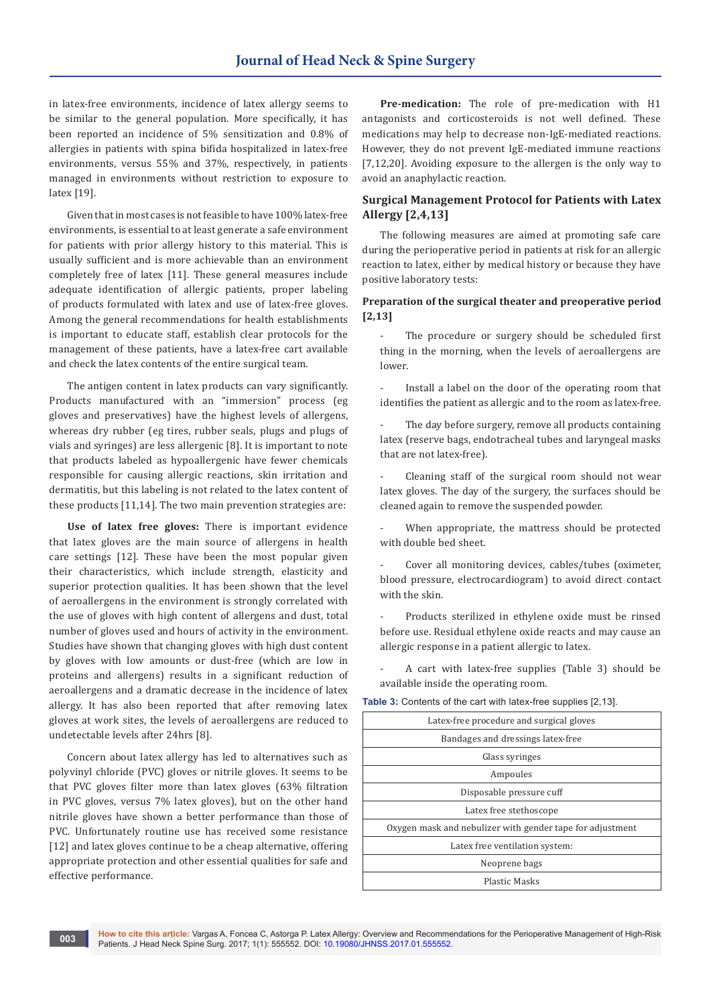in latex-free environments, incidence of latex allergy seems to be similar to the general population. More specifically, it has been reported an incidence of 5% sensitization and 0.8% of allergies in patients with spina bifida hospitalized in latex-free environments, versus 55% and 37%, respectively, in patients managed in environments without restriction to exposure to latex [19].

Given that in most cases is not feasible to have 100% latex-free environments, is essential to at least generate a safe environment for patients with prior allergy history to this material. This is usually sufficient and is more achievable than an environment completely free of latex [11]. These general measures include adequate identification of allergic patients, proper labeling of products formulated with latex and use of latex-free gloves. Among the general recommendations for health establishments is important to educate staff, establish clear protocols for the management of these patients, have a latex-free cart available and check the latex contents of the entire surgical team.

The antigen content in latex products can vary significantly. Products manufactured with an "immersion" process (eg gloves and preservatives) have the highest levels of allergens, whereas dry rubber (eg tires, rubber seals, plugs and plugs of vials and syringes) are less allergenic [8]. It is important to note that products labeled as hypoallergenic have fewer chemicals responsible for causing allergic reactions, skin irritation and dermatitis, but this labeling is not related to the latex content of these products [11,14]. The two main prevention strategies are:

**Use of latex free gloves:** There is important evidence that latex gloves are the main source of allergens in health care settings [12]. These have been the most popular given their characteristics, which include strength, elasticity and superior protection qualities. It has been shown that the level of aeroallergens in the environment is strongly correlated with the use of gloves with high content of allergens and dust, total number of gloves used and hours of activity in the environment. Studies have shown that changing gloves with high dust content by gloves with low amounts or dust-free (which are low in proteins and allergens) results in a significant reduction of aeroallergens and a dramatic decrease in the incidence of latex allergy. It has also been reported that after removing latex gloves at work sites, the levels of aeroallergens are reduced to undetectable levels after 24hrs [8].

Concern about latex allergy has led to alternatives such as polyvinyl chloride (PVC) gloves or nitrile gloves. It seems to be that PVC gloves filter more than latex gloves (63% filtration in PVC gloves, versus 7% latex gloves), but on the other hand nitrile gloves have shown a better performance than those of PVC. Unfortunately routine use has received some resistance [12] and latex gloves continue to be a cheap alternative, offering appropriate protection and other essential qualities for safe and effective performance.

**Pre-medication:** The role of pre-medication with H1 antagonists and corticosteroids is not well defined. These medications may help to decrease non-IgE-mediated reactions. However, they do not prevent IgE-mediated immune reactions [7,12,20]. Avoiding exposure to the allergen is the only way to avoid an anaphylactic reaction.

# **Surgical Management Protocol for Patients with Latex Allergy [2,4,13]**

The following measures are aimed at promoting safe care during the perioperative period in patients at risk for an allergic reaction to latex, either by medical history or because they have positive laboratory tests:

## **Preparation of the surgical theater and preoperative period [2,13]**

The procedure or surgery should be scheduled first thing in the morning, when the levels of aeroallergens are lower.

Install a label on the door of the operating room that identifies the patient as allergic and to the room as latex-free.

The day before surgery, remove all products containing latex (reserve bags, endotracheal tubes and laryngeal masks that are not latex-free).

Cleaning staff of the surgical room should not wear latex gloves. The day of the surgery, the surfaces should be cleaned again to remove the suspended powder.

When appropriate, the mattress should be protected with double bed sheet.

Cover all monitoring devices, cables/tubes (oximeter, blood pressure, electrocardiogram) to avoid direct contact with the skin.

Products sterilized in ethylene oxide must be rinsed before use. Residual ethylene oxide reacts and may cause an allergic response in a patient allergic to latex.

- A cart with latex-free supplies (Table 3) should be available inside the operating room.

**Table 3:** Contents of the cart with latex-free supplies [2,13].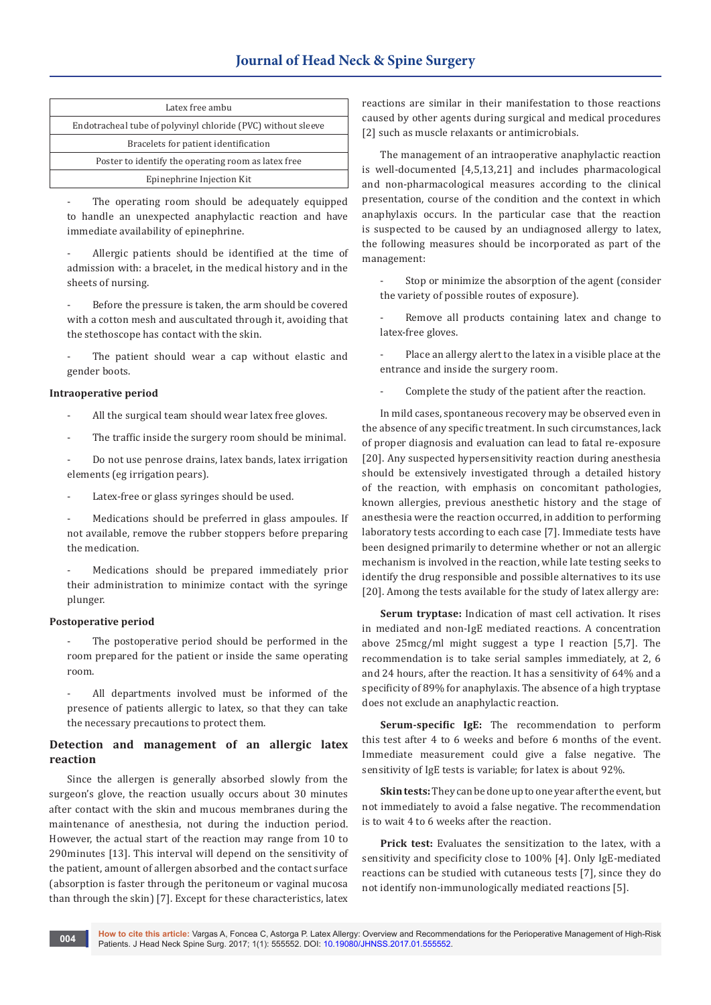| Latex free ambu                                              |
|--------------------------------------------------------------|
| Endotracheal tube of polyvinyl chloride (PVC) without sleeve |
| Bracelets for patient identification                         |
| Poster to identify the operating room as latex free          |
| Epinephrine Injection Kit                                    |

The operating room should be adequately equipped to handle an unexpected anaphylactic reaction and have immediate availability of epinephrine.

Allergic patients should be identified at the time of admission with: a bracelet, in the medical history and in the sheets of nursing.

Before the pressure is taken, the arm should be covered with a cotton mesh and auscultated through it, avoiding that the stethoscope has contact with the skin.

The patient should wear a cap without elastic and gender boots.

### **Intraoperative period**

- All the surgical team should wear latex free gloves.
- The traffic inside the surgery room should be minimal.

Do not use penrose drains, latex bands, latex irrigation elements (eg irrigation pears).

Latex-free or glass syringes should be used.

Medications should be preferred in glass ampoules. If not available, remove the rubber stoppers before preparing the medication.

Medications should be prepared immediately prior their administration to minimize contact with the syringe plunger.

#### **Postoperative period**

- The postoperative period should be performed in the room prepared for the patient or inside the same operating room.
- All departments involved must be informed of the presence of patients allergic to latex, so that they can take the necessary precautions to protect them.

# **Detection and management of an allergic latex reaction**

Since the allergen is generally absorbed slowly from the surgeon's glove, the reaction usually occurs about 30 minutes after contact with the skin and mucous membranes during the maintenance of anesthesia, not during the induction period. However, the actual start of the reaction may range from 10 to 290minutes [13]. This interval will depend on the sensitivity of the patient, amount of allergen absorbed and the contact surface (absorption is faster through the peritoneum or vaginal mucosa than through the skin) [7]. Except for these characteristics, latex

reactions are similar in their manifestation to those reactions caused by other agents during surgical and medical procedures [2] such as muscle relaxants or antimicrobials.

The management of an intraoperative anaphylactic reaction is well-documented [4,5,13,21] and includes pharmacological and non-pharmacological measures according to the clinical presentation, course of the condition and the context in which anaphylaxis occurs. In the particular case that the reaction is suspected to be caused by an undiagnosed allergy to latex, the following measures should be incorporated as part of the management:

Stop or minimize the absorption of the agent (consider the variety of possible routes of exposure).

Remove all products containing latex and change to latex-free gloves.

Place an allergy alert to the latex in a visible place at the entrance and inside the surgery room.

Complete the study of the patient after the reaction.

In mild cases, spontaneous recovery may be observed even in the absence of any specific treatment. In such circumstances, lack of proper diagnosis and evaluation can lead to fatal re-exposure [20]. Any suspected hypersensitivity reaction during anesthesia should be extensively investigated through a detailed history of the reaction, with emphasis on concomitant pathologies, known allergies, previous anesthetic history and the stage of anesthesia were the reaction occurred, in addition to performing laboratory tests according to each case [7]. Immediate tests have been designed primarily to determine whether or not an allergic mechanism is involved in the reaction, while late testing seeks to identify the drug responsible and possible alternatives to its use [20]. Among the tests available for the study of latex allergy are:

**Serum tryptase:** Indication of mast cell activation. It rises in mediated and non-IgE mediated reactions. A concentration above 25mcg/ml might suggest a type I reaction [5,7]. The recommendation is to take serial samples immediately, at 2, 6 and 24 hours, after the reaction. It has a sensitivity of 64% and a specificity of 89% for anaphylaxis. The absence of a high tryptase does not exclude an anaphylactic reaction.

**Serum-specific IgE:** The recommendation to perform this test after 4 to 6 weeks and before 6 months of the event. Immediate measurement could give a false negative. The sensitivity of IgE tests is variable; for latex is about 92%.

**Skin tests:** They can be done up to one year after the event, but not immediately to avoid a false negative. The recommendation is to wait 4 to 6 weeks after the reaction.

**Prick test:** Evaluates the sensitization to the latex, with a sensitivity and specificity close to 100% [4]. Only IgE-mediated reactions can be studied with cutaneous tests [7], since they do not identify non-immunologically mediated reactions [5].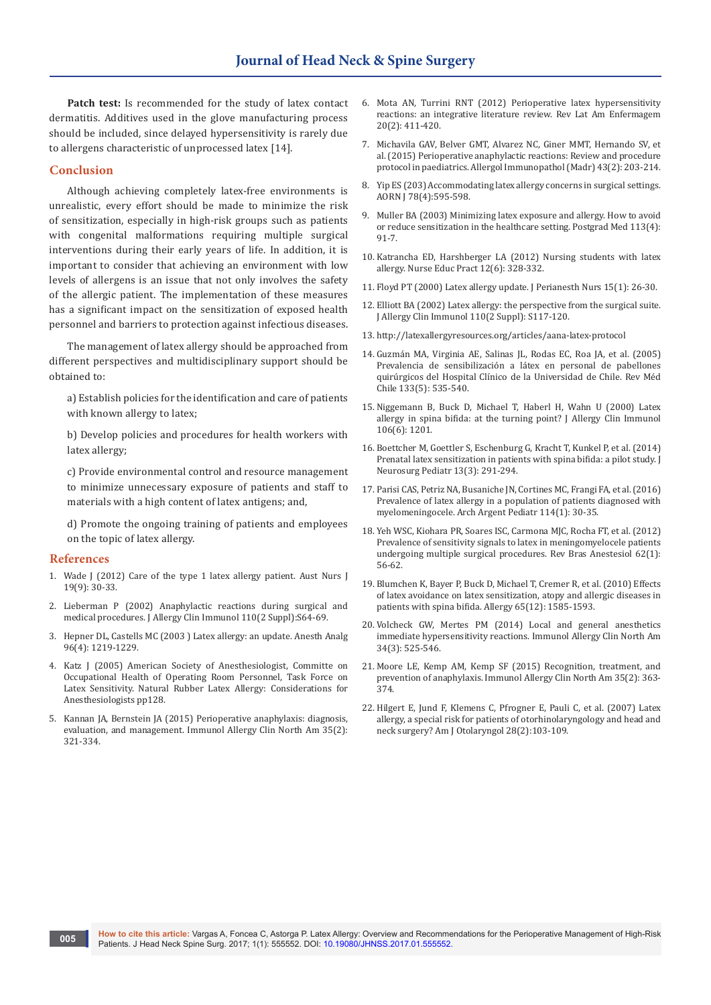**Patch test:** Is recommended for the study of latex contact dermatitis. Additives used in the glove manufacturing process should be included, since delayed hypersensitivity is rarely due to allergens characteristic of unprocessed latex [14].

### **Conclusion**

Although achieving completely latex-free environments is unrealistic, every effort should be made to minimize the risk of sensitization, especially in high-risk groups such as patients with congenital malformations requiring multiple surgical interventions during their early years of life. In addition, it is important to consider that achieving an environment with low levels of allergens is an issue that not only involves the safety of the allergic patient. The implementation of these measures has a significant impact on the sensitization of exposed health personnel and barriers to protection against infectious diseases.

The management of latex allergy should be approached from different perspectives and multidisciplinary support should be obtained to:

a) Establish policies for the identification and care of patients with known allergy to latex;

b) Develop policies and procedures for health workers with latex allergy;

c) Provide environmental control and resource management to minimize unnecessary exposure of patients and staff to materials with a high content of latex antigens; and,

d) Promote the ongoing training of patients and employees on the topic of latex allergy.

#### **References**

- 1. [Wade J \(2012\) Care of the type 1 latex allergy patient. Aust Nurs J](https://www.ncbi.nlm.nih.gov/pubmed/22616302)  [19\(9\): 30-33.](https://www.ncbi.nlm.nih.gov/pubmed/22616302)
- 2. [Lieberman P \(2002\) Anaphylactic reactions during surgical and](https://www.ncbi.nlm.nih.gov/pubmed/12170245)  [medical procedures. J Allergy Clin Immunol 110\(2 Suppl\):S64-69.](https://www.ncbi.nlm.nih.gov/pubmed/12170245)
- 3. [Hepner DL, Castells MC \(2003 \) Latex allergy: an update. Anesth Analg](https://www.ncbi.nlm.nih.gov/pubmed/12651689)  [96\(4\): 1219-1229.](https://www.ncbi.nlm.nih.gov/pubmed/12651689)
- 4. Katz J (2005) American Society of Anesthesiologist, Committe on Occupational Health of Operating Room Personnel, Task Force on Latex Sensitivity. Natural Rubber Latex Allergy: Considerations for Anesthesiologists pp128.
- 5. [Kannan JA, Bernstein JA \(2015\) Perioperative anaphylaxis: diagnosis,](https://www.ncbi.nlm.nih.gov/pubmed/25841554)  [evaluation, and management. Immunol Allergy Clin North Am 35\(2\):](https://www.ncbi.nlm.nih.gov/pubmed/25841554)  [321-334.](https://www.ncbi.nlm.nih.gov/pubmed/25841554)
- 6. [Mota AN, Turrini RNT \(2012\) Perioperative latex hypersensitivity](https://www.ncbi.nlm.nih.gov/pubmed/22699744)  [reactions: an integrative literature review. Rev Lat Am Enfermagem](https://www.ncbi.nlm.nih.gov/pubmed/22699744)  [20\(2\): 411-420.](https://www.ncbi.nlm.nih.gov/pubmed/22699744)
- 7. [Michavila GAV, Belver GMT, Alvarez NC, Giner MMT, Hernando SV, et](https://www.ncbi.nlm.nih.gov/pubmed/24231150)  [al. \(2015\) Perioperative anaphylactic reactions: Review and procedure](https://www.ncbi.nlm.nih.gov/pubmed/24231150)  [protocol in paediatrics. Allergol Immunopathol \(Madr\) 43\(2\): 203-214.](https://www.ncbi.nlm.nih.gov/pubmed/24231150)
- 8. [Yip ES \(203\) Accommodating latex allergy concerns in surgical settings.](https://www.ncbi.nlm.nih.gov/pubmed/14575184)  [AORN J 78\(4\):595-598.](https://www.ncbi.nlm.nih.gov/pubmed/14575184)
- 9. [Muller BA \(2003\) Minimizing latex exposure and allergy. How to avoid](https://www.ncbi.nlm.nih.gov/pubmed/12718238)  [or reduce sensitization in the healthcare setting. Postgrad Med 113\(4\):](https://www.ncbi.nlm.nih.gov/pubmed/12718238)  [91-7.](https://www.ncbi.nlm.nih.gov/pubmed/12718238)
- 10. [Katrancha ED, Harshberger LA \(2012\) Nursing students with latex](https://www.ncbi.nlm.nih.gov/pubmed/22622110)  [allergy. Nurse Educ Pract 12\(6\): 328-332.](https://www.ncbi.nlm.nih.gov/pubmed/22622110)
- 11. [Floyd PT \(2000\) Latex allergy update. J Perianesth Nurs 15\(1\): 26-30.](https://www.ncbi.nlm.nih.gov/pubmed/10839086)
- 12. [Elliott BA \(2002\) Latex allergy: the perspective from the surgical suite.](https://www.ncbi.nlm.nih.gov/pubmed/12170252)  [J Allergy Clin Immunol 110\(2 Suppl\): S117-120.](https://www.ncbi.nlm.nih.gov/pubmed/12170252)
- 13. <http://latexallergyresources.org/articles/aana-latex-protocol>
- 14. [Guzmán MA, Virginia AE, Salinas JL, Rodas EC, Roa JA, et al. \(2005\)](http://www.scielo.cl/scielo.php?script=sci_arttext&pid=S0034-98872005000500004)  [Prevalencia de sensibilización a látex en personal de pabellones](http://www.scielo.cl/scielo.php?script=sci_arttext&pid=S0034-98872005000500004)  [quirúrgicos del Hospital Clínico de la Universidad de Chile. Rev Méd](http://www.scielo.cl/scielo.php?script=sci_arttext&pid=S0034-98872005000500004)  [Chile 133\(5\): 535-540.](http://www.scielo.cl/scielo.php?script=sci_arttext&pid=S0034-98872005000500004)
- 15. [Niggemann B, Buck D, Michael T, Haberl H, Wahn U \(2000\) Latex](https://www.ncbi.nlm.nih.gov/pubmed/11112908)  [allergy in spina bifida: at the turning point? J Allergy Clin Immunol](https://www.ncbi.nlm.nih.gov/pubmed/11112908)  [106\(6\): 1201.](https://www.ncbi.nlm.nih.gov/pubmed/11112908)
- 16. [Boettcher M, Goettler S, Eschenburg G, Kracht T, Kunkel P, et al. \(2014\)](https://www.ncbi.nlm.nih.gov/pubmed/24404967)  [Prenatal latex sensitization in patients with spina bifida: a pilot study. J](https://www.ncbi.nlm.nih.gov/pubmed/24404967)  [Neurosurg Pediatr 13\(3\): 291-294.](https://www.ncbi.nlm.nih.gov/pubmed/24404967)
- 17. [Parisi CAS, Petriz NA, Busaniche JN, Cortines MC, Frangi FA, et al. \(2016\)](https://www.ncbi.nlm.nih.gov/pubmed/26914072)  [Prevalence of latex allergy in a population of patients diagnosed with](https://www.ncbi.nlm.nih.gov/pubmed/26914072)  [myelomeningocele. Arch Argent Pediatr 114\(1\): 30-35.](https://www.ncbi.nlm.nih.gov/pubmed/26914072)
- 18. [Yeh WSC, Kiohara PR, Soares ISC, Carmona MJC, Rocha FT, et al. \(2012\)](https://www.ncbi.nlm.nih.gov/pubmed/22248766)  [Prevalence of sensitivity signals to latex in meningomyelocele patients](https://www.ncbi.nlm.nih.gov/pubmed/22248766)  [undergoing multiple surgical procedures. Rev Bras Anestesiol 62\(1\):](https://www.ncbi.nlm.nih.gov/pubmed/22248766)  [56-62.](https://www.ncbi.nlm.nih.gov/pubmed/22248766)
- 19. [Blumchen K, Bayer P, Buck D, Michael T, Cremer R, et al. \(2010\) Effects](https://www.ncbi.nlm.nih.gov/pubmed/20659078)  [of latex avoidance on latex sensitization, atopy and allergic diseases in](https://www.ncbi.nlm.nih.gov/pubmed/20659078)  [patients with spina bifida. Allergy 65\(12\): 1585-1593.](https://www.ncbi.nlm.nih.gov/pubmed/20659078)
- 20. [Volcheck GW, Mertes PM \(2014\) Local and general anesthetics](https://www.ncbi.nlm.nih.gov/pubmed/25017676)  [immediate hypersensitivity reactions. Immunol Allergy Clin North Am](https://www.ncbi.nlm.nih.gov/pubmed/25017676)  [34\(3\): 525-546.](https://www.ncbi.nlm.nih.gov/pubmed/25017676)
- 21. [Moore LE, Kemp AM, Kemp SF \(2015\) Recognition, treatment, and](https://www.ncbi.nlm.nih.gov/pubmed/25841557)  [prevention of anaphylaxis. Immunol Allergy Clin North Am 35\(2\): 363-](https://www.ncbi.nlm.nih.gov/pubmed/25841557) [374.](https://www.ncbi.nlm.nih.gov/pubmed/25841557)
- 22. [Hilgert E, Jund F, Klemens C, Pfrogner E, Pauli C, et al. \(2007\) Latex](http://www.amjoto.com/article/S0196-0709(06)00155-4/references)  [allergy, a special risk for patients of otorhinolaryngology and head and](http://www.amjoto.com/article/S0196-0709(06)00155-4/references)  [neck surgery? Am J Otolaryngol 28\(2\):103-109.](http://www.amjoto.com/article/S0196-0709(06)00155-4/references)